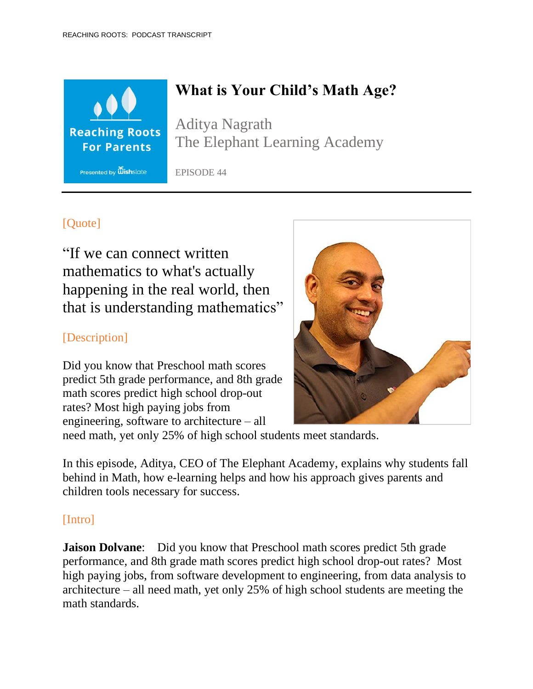

# **What is Your Child's Math Age?**

Aditya Nagrath The Elephant Learning Academy

EPISODE 44

# [Ouote]

"If we can connect written mathematics to what's actually happening in the real world, then that is understanding mathematics"

## [Description]

Did you know that Preschool math scores predict 5th grade performance, and 8th grade math scores predict high school drop-out rates? Most high paying jobs from engineering, software to architecture – all



need math, yet only 25% of high school students meet standards.

In this episode, Aditya, CEO of The Elephant Academy, explains why students fall behind in Math, how e-learning helps and how his approach gives parents and children tools necessary for success.

# [Intro]

**Jaison Dolvane:** Did you know that Preschool math scores predict 5th grade performance, and 8th grade math scores predict high school drop-out rates? Most high paying jobs, from software development to engineering, from data analysis to architecture – all need math, yet only 25% of high school students are meeting the math standards.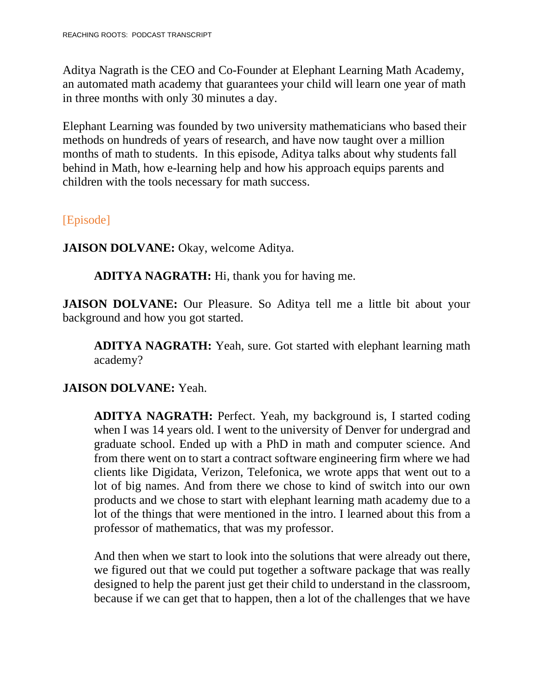Aditya Nagrath is the CEO and Co-Founder at Elephant Learning Math Academy, an automated math academy that guarantees your child will learn one year of math in three months with only 30 minutes a day.

Elephant Learning was founded by two university mathematicians who based their methods on hundreds of years of research, and have now taught over a million months of math to students. In this episode, Aditya talks about why students fall behind in Math, how e-learning help and how his approach equips parents and children with the tools necessary for math success.

#### [Episode]

**JAISON DOLVANE:** Okay, welcome Aditya.

**ADITYA NAGRATH:** Hi, thank you for having me.

**JAISON DOLVANE:** Our Pleasure. So Aditya tell me a little bit about your background and how you got started.

**ADITYA NAGRATH:** Yeah, sure. Got started with elephant learning math academy?

### **JAISON DOLVANE:** Yeah.

**ADITYA NAGRATH:** Perfect. Yeah, my background is, I started coding when I was 14 years old. I went to the university of Denver for undergrad and graduate school. Ended up with a PhD in math and computer science. And from there went on to start a contract software engineering firm where we had clients like Digidata, Verizon, Telefonica, we wrote apps that went out to a lot of big names. And from there we chose to kind of switch into our own products and we chose to start with elephant learning math academy due to a lot of the things that were mentioned in the intro. I learned about this from a professor of mathematics, that was my professor.

And then when we start to look into the solutions that were already out there, we figured out that we could put together a software package that was really designed to help the parent just get their child to understand in the classroom, because if we can get that to happen, then a lot of the challenges that we have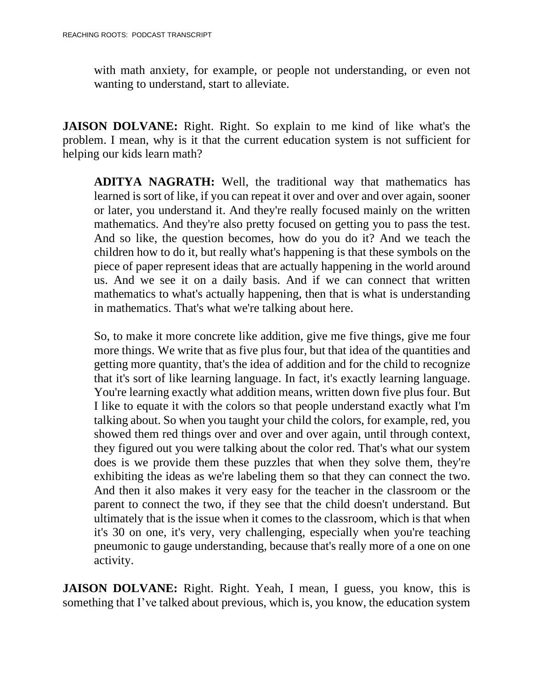with math anxiety, for example, or people not understanding, or even not wanting to understand, start to alleviate.

**JAISON DOLVANE:** Right. Right. So explain to me kind of like what's the problem. I mean, why is it that the current education system is not sufficient for helping our kids learn math?

**ADITYA NAGRATH:** Well, the traditional way that mathematics has learned is sort of like, if you can repeat it over and over and over again, sooner or later, you understand it. And they're really focused mainly on the written mathematics. And they're also pretty focused on getting you to pass the test. And so like, the question becomes, how do you do it? And we teach the children how to do it, but really what's happening is that these symbols on the piece of paper represent ideas that are actually happening in the world around us. And we see it on a daily basis. And if we can connect that written mathematics to what's actually happening, then that is what is understanding in mathematics. That's what we're talking about here.

So, to make it more concrete like addition, give me five things, give me four more things. We write that as five plus four, but that idea of the quantities and getting more quantity, that's the idea of addition and for the child to recognize that it's sort of like learning language. In fact, it's exactly learning language. You're learning exactly what addition means, written down five plus four. But I like to equate it with the colors so that people understand exactly what I'm talking about. So when you taught your child the colors, for example, red, you showed them red things over and over and over again, until through context, they figured out you were talking about the color red. That's what our system does is we provide them these puzzles that when they solve them, they're exhibiting the ideas as we're labeling them so that they can connect the two. And then it also makes it very easy for the teacher in the classroom or the parent to connect the two, if they see that the child doesn't understand. But ultimately that is the issue when it comes to the classroom, which is that when it's 30 on one, it's very, very challenging, especially when you're teaching pneumonic to gauge understanding, because that's really more of a one on one activity.

**JAISON DOLVANE:** Right. Right. Yeah, I mean, I guess, you know, this is something that I've talked about previous, which is, you know, the education system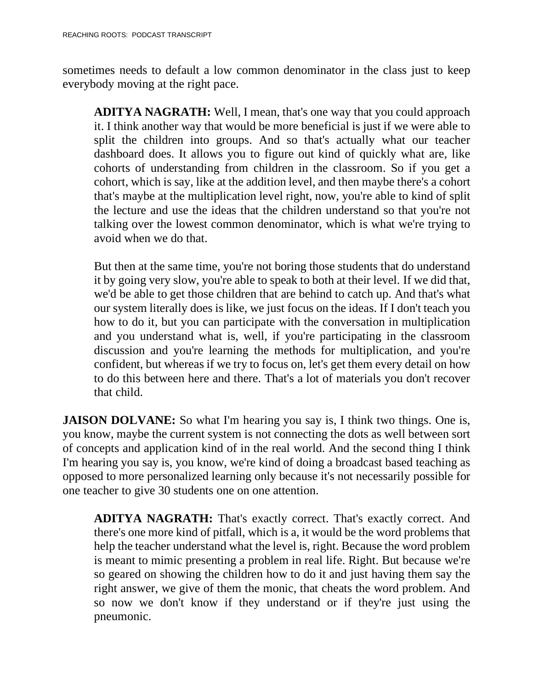sometimes needs to default a low common denominator in the class just to keep everybody moving at the right pace.

**ADITYA NAGRATH:** Well, I mean, that's one way that you could approach it. I think another way that would be more beneficial is just if we were able to split the children into groups. And so that's actually what our teacher dashboard does. It allows you to figure out kind of quickly what are, like cohorts of understanding from children in the classroom. So if you get a cohort, which is say, like at the addition level, and then maybe there's a cohort that's maybe at the multiplication level right, now, you're able to kind of split the lecture and use the ideas that the children understand so that you're not talking over the lowest common denominator, which is what we're trying to avoid when we do that.

But then at the same time, you're not boring those students that do understand it by going very slow, you're able to speak to both at their level. If we did that, we'd be able to get those children that are behind to catch up. And that's what our system literally does is like, we just focus on the ideas. If I don't teach you how to do it, but you can participate with the conversation in multiplication and you understand what is, well, if you're participating in the classroom discussion and you're learning the methods for multiplication, and you're confident, but whereas if we try to focus on, let's get them every detail on how to do this between here and there. That's a lot of materials you don't recover that child.

**JAISON DOLVANE:** So what I'm hearing you say is, I think two things. One is, you know, maybe the current system is not connecting the dots as well between sort of concepts and application kind of in the real world. And the second thing I think I'm hearing you say is, you know, we're kind of doing a broadcast based teaching as opposed to more personalized learning only because it's not necessarily possible for one teacher to give 30 students one on one attention.

**ADITYA NAGRATH:** That's exactly correct. That's exactly correct. And there's one more kind of pitfall, which is a, it would be the word problems that help the teacher understand what the level is, right. Because the word problem is meant to mimic presenting a problem in real life. Right. But because we're so geared on showing the children how to do it and just having them say the right answer, we give of them the monic, that cheats the word problem. And so now we don't know if they understand or if they're just using the pneumonic.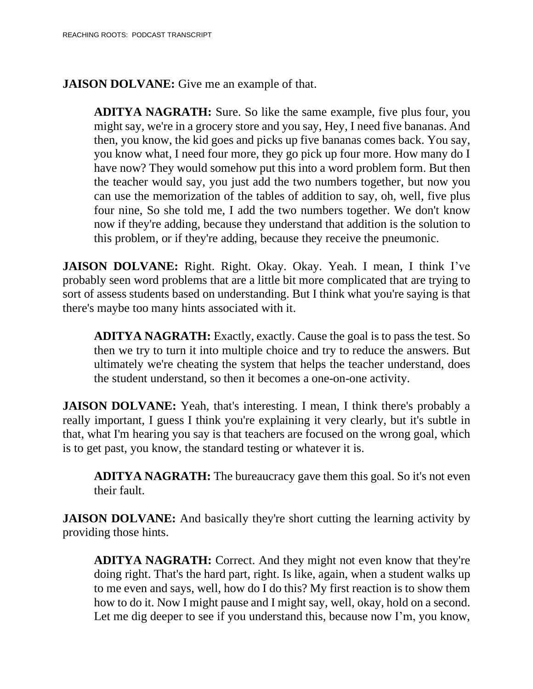**JAISON DOLVANE:** Give me an example of that.

**ADITYA NAGRATH:** Sure. So like the same example, five plus four, you might say, we're in a grocery store and you say, Hey, I need five bananas. And then, you know, the kid goes and picks up five bananas comes back. You say, you know what, I need four more, they go pick up four more. How many do I have now? They would somehow put this into a word problem form. But then the teacher would say, you just add the two numbers together, but now you can use the memorization of the tables of addition to say, oh, well, five plus four nine, So she told me, I add the two numbers together. We don't know now if they're adding, because they understand that addition is the solution to this problem, or if they're adding, because they receive the pneumonic.

**JAISON DOLVANE:** Right. Right. Okay. Okay. Yeah. I mean, I think I've probably seen word problems that are a little bit more complicated that are trying to sort of assess students based on understanding. But I think what you're saying is that there's maybe too many hints associated with it.

**ADITYA NAGRATH:** Exactly, exactly. Cause the goal is to pass the test. So then we try to turn it into multiple choice and try to reduce the answers. But ultimately we're cheating the system that helps the teacher understand, does the student understand, so then it becomes a one-on-one activity.

**JAISON DOLVANE:** Yeah, that's interesting. I mean, I think there's probably a really important, I guess I think you're explaining it very clearly, but it's subtle in that, what I'm hearing you say is that teachers are focused on the wrong goal, which is to get past, you know, the standard testing or whatever it is.

**ADITYA NAGRATH:** The bureaucracy gave them this goal. So it's not even their fault.

**JAISON DOLVANE:** And basically they're short cutting the learning activity by providing those hints.

**ADITYA NAGRATH:** Correct. And they might not even know that they're doing right. That's the hard part, right. Is like, again, when a student walks up to me even and says, well, how do I do this? My first reaction is to show them how to do it. Now I might pause and I might say, well, okay, hold on a second. Let me dig deeper to see if you understand this, because now I'm, you know,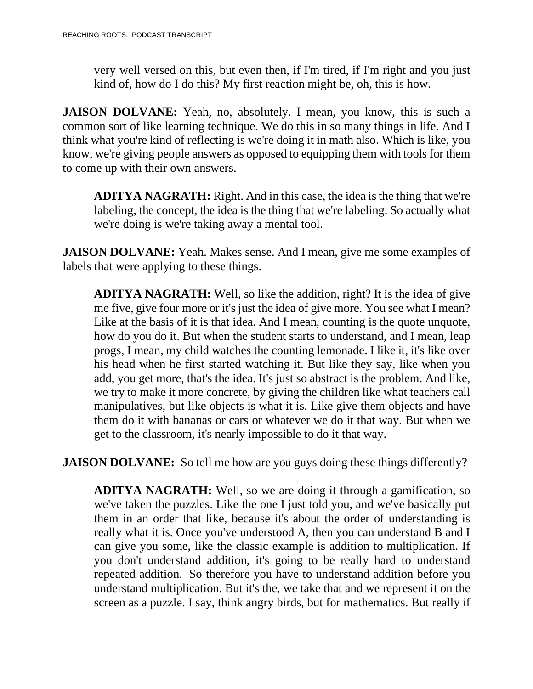very well versed on this, but even then, if I'm tired, if I'm right and you just kind of, how do I do this? My first reaction might be, oh, this is how.

**JAISON DOLVANE:** Yeah, no, absolutely. I mean, you know, this is such a common sort of like learning technique. We do this in so many things in life. And I think what you're kind of reflecting is we're doing it in math also. Which is like, you know, we're giving people answers as opposed to equipping them with tools for them to come up with their own answers.

**ADITYA NAGRATH:** Right. And in this case, the idea isthe thing that we're labeling, the concept, the idea is the thing that we're labeling. So actually what we're doing is we're taking away a mental tool.

**JAISON DOLVANE:** Yeah. Makes sense. And I mean, give me some examples of labels that were applying to these things.

**ADITYA NAGRATH:** Well, so like the addition, right? It is the idea of give me five, give four more or it's just the idea of give more. You see what I mean? Like at the basis of it is that idea. And I mean, counting is the quote unquote, how do you do it. But when the student starts to understand, and I mean, leap progs, I mean, my child watches the counting lemonade. I like it, it's like over his head when he first started watching it. But like they say, like when you add, you get more, that's the idea. It's just so abstract is the problem. And like, we try to make it more concrete, by giving the children like what teachers call manipulatives, but like objects is what it is. Like give them objects and have them do it with bananas or cars or whatever we do it that way. But when we get to the classroom, it's nearly impossible to do it that way.

**JAISON DOLVANE:** So tell me how are you guys doing these things differently?

**ADITYA NAGRATH:** Well, so we are doing it through a gamification, so we've taken the puzzles. Like the one I just told you, and we've basically put them in an order that like, because it's about the order of understanding is really what it is. Once you've understood A, then you can understand B and I can give you some, like the classic example is addition to multiplication. If you don't understand addition, it's going to be really hard to understand repeated addition. So therefore you have to understand addition before you understand multiplication. But it's the, we take that and we represent it on the screen as a puzzle. I say, think angry birds, but for mathematics. But really if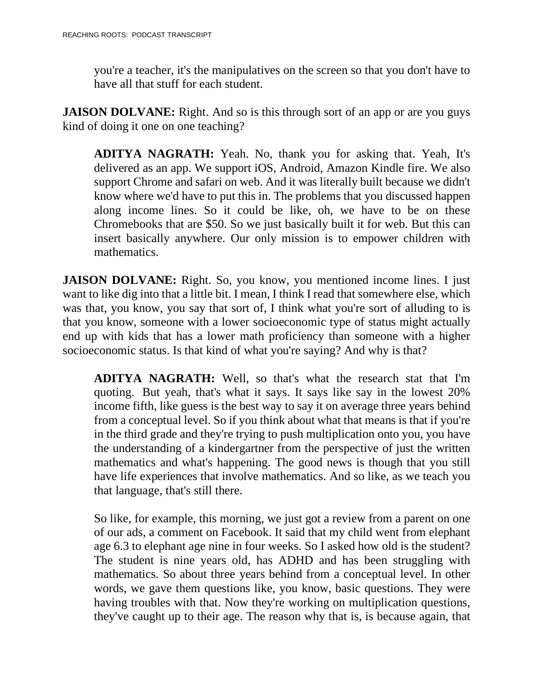you're a teacher, it's the manipulatives on the screen so that you don't have to have all that stuff for each student.

**JAISON DOLVANE:** Right. And so is this through sort of an app or are you guys kind of doing it one on one teaching?

**ADITYA NAGRATH:** Yeah. No, thank you for asking that. Yeah, It's delivered as an app. We support iOS, Android, Amazon Kindle fire. We also support Chrome and safari on web. And it was literally built because we didn't know where we'd have to put this in. The problems that you discussed happen along income lines. So it could be like, oh, we have to be on these Chromebooks that are \$50. So we just basically built it for web. But this can insert basically anywhere. Our only mission is to empower children with mathematics.

**JAISON DOLVANE:** Right. So, you know, you mentioned income lines. I just want to like dig into that a little bit. I mean, I think I read that somewhere else, which was that, you know, you say that sort of, I think what you're sort of alluding to is that you know, someone with a lower socioeconomic type of status might actually end up with kids that has a lower math proficiency than someone with a higher socioeconomic status. Is that kind of what you're saying? And why is that?

**ADITYA NAGRATH:** Well, so that's what the research stat that I'm quoting. But yeah, that's what it says. It says like say in the lowest 20% income fifth, like guess is the best way to say it on average three years behind from a conceptual level. So if you think about what that means is that if you're in the third grade and they're trying to push multiplication onto you, you have the understanding of a kindergartner from the perspective of just the written mathematics and what's happening. The good news is though that you still have life experiences that involve mathematics. And so like, as we teach you that language, that's still there.

So like, for example, this morning, we just got a review from a parent on one of our ads, a comment on Facebook. It said that my child went from elephant age 6.3 to elephant age nine in four weeks. So I asked how old is the student? The student is nine years old, has ADHD and has been struggling with mathematics. So about three years behind from a conceptual level. In other words, we gave them questions like, you know, basic questions. They were having troubles with that. Now they're working on multiplication questions, they've caught up to their age. The reason why that is, is because again, that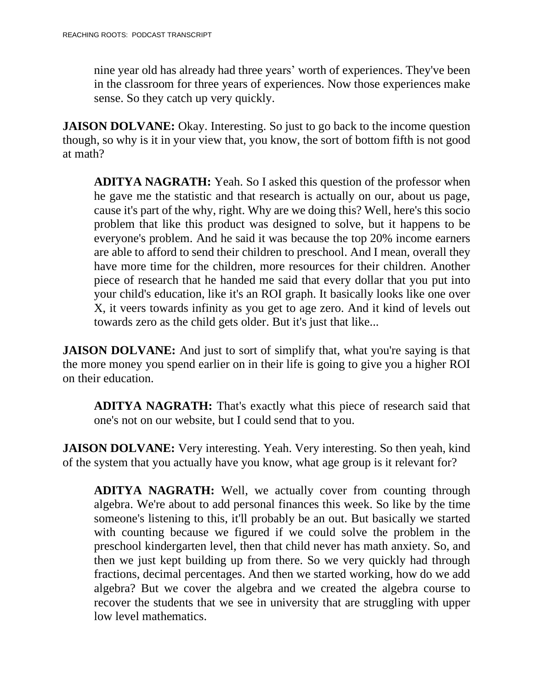nine year old has already had three years' worth of experiences. They've been in the classroom for three years of experiences. Now those experiences make sense. So they catch up very quickly.

**JAISON DOLVANE:** Okay. Interesting. So just to go back to the income question though, so why is it in your view that, you know, the sort of bottom fifth is not good at math?

**ADITYA NAGRATH:** Yeah. So I asked this question of the professor when he gave me the statistic and that research is actually on our, about us page, cause it's part of the why, right. Why are we doing this? Well, here's this socio problem that like this product was designed to solve, but it happens to be everyone's problem. And he said it was because the top 20% income earners are able to afford to send their children to preschool. And I mean, overall they have more time for the children, more resources for their children. Another piece of research that he handed me said that every dollar that you put into your child's education, like it's an ROI graph. It basically looks like one over X, it veers towards infinity as you get to age zero. And it kind of levels out towards zero as the child gets older. But it's just that like...

**JAISON DOLVANE:** And just to sort of simplify that, what you're saying is that the more money you spend earlier on in their life is going to give you a higher ROI on their education.

**ADITYA NAGRATH:** That's exactly what this piece of research said that one's not on our website, but I could send that to you.

**JAISON DOLVANE:** Very interesting. Yeah. Very interesting. So then yeah, kind of the system that you actually have you know, what age group is it relevant for?

**ADITYA NAGRATH:** Well, we actually cover from counting through algebra. We're about to add personal finances this week. So like by the time someone's listening to this, it'll probably be an out. But basically we started with counting because we figured if we could solve the problem in the preschool kindergarten level, then that child never has math anxiety. So, and then we just kept building up from there. So we very quickly had through fractions, decimal percentages. And then we started working, how do we add algebra? But we cover the algebra and we created the algebra course to recover the students that we see in university that are struggling with upper low level mathematics.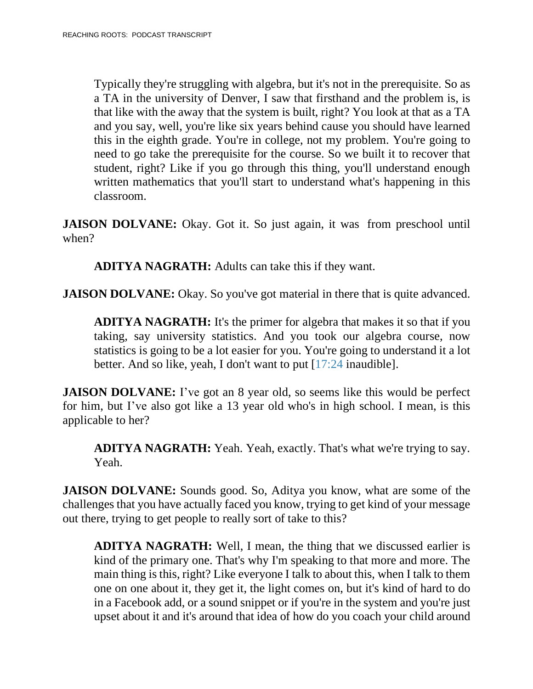Typically they're struggling with algebra, but it's not in the prerequisite. So as a TA in the university of Denver, I saw that firsthand and the problem is, is that like with the away that the system is built, right? You look at that as a TA and you say, well, you're like six years behind cause you should have learned this in the eighth grade. You're in college, not my problem. You're going to need to go take the prerequisite for the course. So we built it to recover that student, right? Like if you go through this thing, you'll understand enough written mathematics that you'll start to understand what's happening in this classroom.

**JAISON DOLVANE:** Okay. Got it. So just again, it was from preschool until when?

**ADITYA NAGRATH:** Adults can take this if they want.

**JAISON DOLVANE:** Okay. So you've got material in there that is quite advanced.

**ADITYA NAGRATH:** It's the primer for algebra that makes it so that if you taking, say university statistics. And you took our algebra course, now statistics is going to be a lot easier for you. You're going to understand it a lot better. And so like, yeah, I don't want to put [17:24 inaudible].

**JAISON DOLVANE:** I've got an 8 year old, so seems like this would be perfect for him, but I've also got like a 13 year old who's in high school. I mean, is this applicable to her?

**ADITYA NAGRATH:** Yeah. Yeah, exactly. That's what we're trying to say. Yeah.

**JAISON DOLVANE:** Sounds good. So, Aditya you know, what are some of the challenges that you have actually faced you know, trying to get kind of your message out there, trying to get people to really sort of take to this?

**ADITYA NAGRATH:** Well, I mean, the thing that we discussed earlier is kind of the primary one. That's why I'm speaking to that more and more. The main thing is this, right? Like everyone I talk to about this, when I talk to them one on one about it, they get it, the light comes on, but it's kind of hard to do in a Facebook add, or a sound snippet or if you're in the system and you're just upset about it and it's around that idea of how do you coach your child around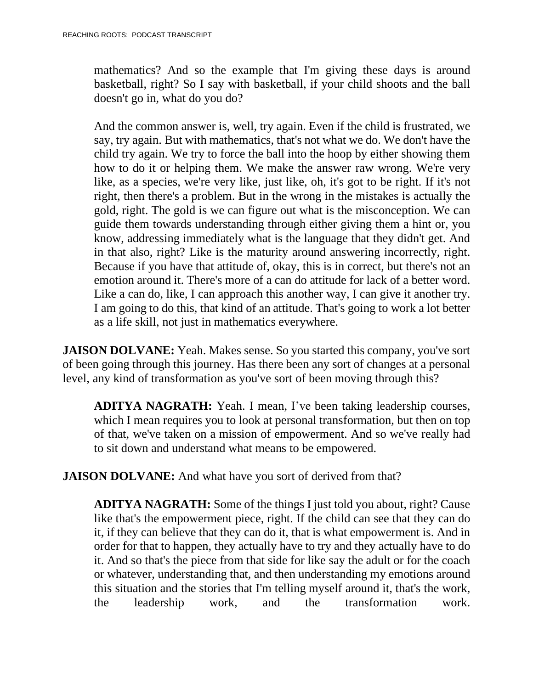mathematics? And so the example that I'm giving these days is around basketball, right? So I say with basketball, if your child shoots and the ball doesn't go in, what do you do?

And the common answer is, well, try again. Even if the child is frustrated, we say, try again. But with mathematics, that's not what we do. We don't have the child try again. We try to force the ball into the hoop by either showing them how to do it or helping them. We make the answer raw wrong. We're very like, as a species, we're very like, just like, oh, it's got to be right. If it's not right, then there's a problem. But in the wrong in the mistakes is actually the gold, right. The gold is we can figure out what is the misconception. We can guide them towards understanding through either giving them a hint or, you know, addressing immediately what is the language that they didn't get. And in that also, right? Like is the maturity around answering incorrectly, right. Because if you have that attitude of, okay, this is in correct, but there's not an emotion around it. There's more of a can do attitude for lack of a better word. Like a can do, like, I can approach this another way, I can give it another try. I am going to do this, that kind of an attitude. That's going to work a lot better as a life skill, not just in mathematics everywhere.

**JAISON DOLVANE:** Yeah. Makes sense. So you started this company, you've sort of been going through this journey. Has there been any sort of changes at a personal level, any kind of transformation as you've sort of been moving through this?

**ADITYA NAGRATH:** Yeah. I mean, I've been taking leadership courses, which I mean requires you to look at personal transformation, but then on top of that, we've taken on a mission of empowerment. And so we've really had to sit down and understand what means to be empowered.

**JAISON DOLVANE:** And what have you sort of derived from that?

**ADITYA NAGRATH:** Some of the things I just told you about, right? Cause like that's the empowerment piece, right. If the child can see that they can do it, if they can believe that they can do it, that is what empowerment is. And in order for that to happen, they actually have to try and they actually have to do it. And so that's the piece from that side for like say the adult or for the coach or whatever, understanding that, and then understanding my emotions around this situation and the stories that I'm telling myself around it, that's the work, the leadership work, and the transformation work.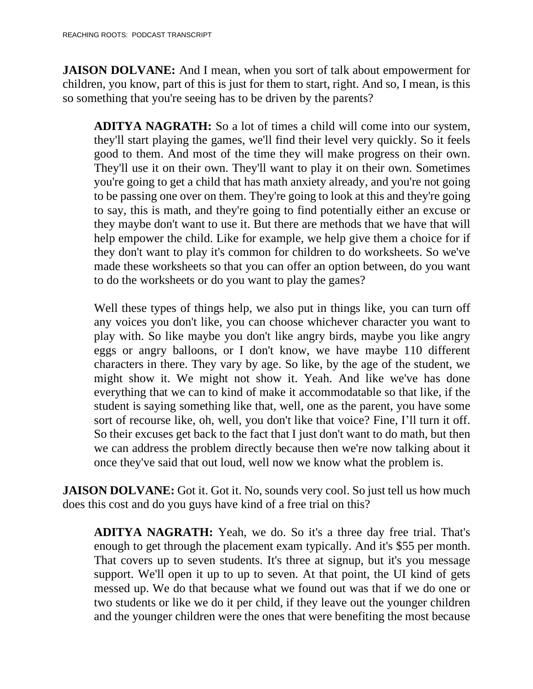**JAISON DOLVANE:** And I mean, when you sort of talk about empowerment for children, you know, part of this is just for them to start, right. And so, I mean, is this so something that you're seeing has to be driven by the parents?

**ADITYA NAGRATH:** So a lot of times a child will come into our system, they'll start playing the games, we'll find their level very quickly. So it feels good to them. And most of the time they will make progress on their own. They'll use it on their own. They'll want to play it on their own. Sometimes you're going to get a child that has math anxiety already, and you're not going to be passing one over on them. They're going to look at this and they're going to say, this is math, and they're going to find potentially either an excuse or they maybe don't want to use it. But there are methods that we have that will help empower the child. Like for example, we help give them a choice for if they don't want to play it's common for children to do worksheets. So we've made these worksheets so that you can offer an option between, do you want to do the worksheets or do you want to play the games?

Well these types of things help, we also put in things like, you can turn off any voices you don't like, you can choose whichever character you want to play with. So like maybe you don't like angry birds, maybe you like angry eggs or angry balloons, or I don't know, we have maybe 110 different characters in there. They vary by age. So like, by the age of the student, we might show it. We might not show it. Yeah. And like we've has done everything that we can to kind of make it accommodatable so that like, if the student is saying something like that, well, one as the parent, you have some sort of recourse like, oh, well, you don't like that voice? Fine, I'll turn it off. So their excuses get back to the fact that I just don't want to do math, but then we can address the problem directly because then we're now talking about it once they've said that out loud, well now we know what the problem is.

**JAISON DOLVANE:** Got it. Got it. No, sounds very cool. So just tell us how much does this cost and do you guys have kind of a free trial on this?

**ADITYA NAGRATH:** Yeah, we do. So it's a three day free trial. That's enough to get through the placement exam typically. And it's \$55 per month. That covers up to seven students. It's three at signup, but it's you message support. We'll open it up to up to seven. At that point, the UI kind of gets messed up. We do that because what we found out was that if we do one or two students or like we do it per child, if they leave out the younger children and the younger children were the ones that were benefiting the most because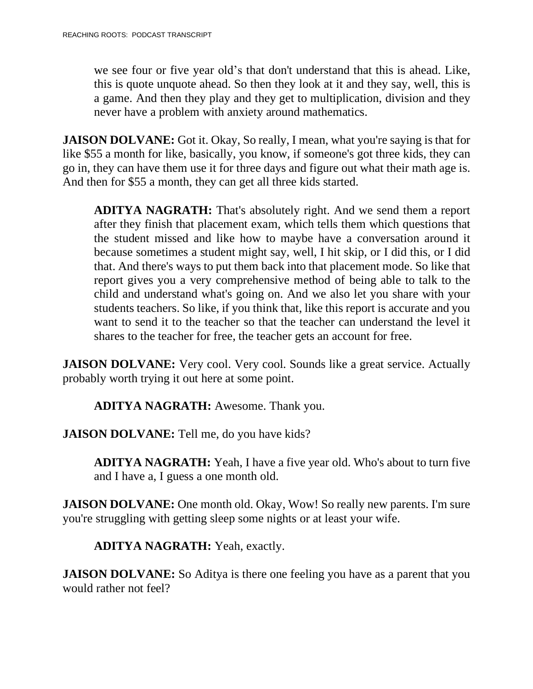we see four or five year old's that don't understand that this is ahead. Like, this is quote unquote ahead. So then they look at it and they say, well, this is a game. And then they play and they get to multiplication, division and they never have a problem with anxiety around mathematics.

**JAISON DOLVANE:** Got it. Okay, So really, I mean, what you're saying is that for like \$55 a month for like, basically, you know, if someone's got three kids, they can go in, they can have them use it for three days and figure out what their math age is. And then for \$55 a month, they can get all three kids started.

**ADITYA NAGRATH:** That's absolutely right. And we send them a report after they finish that placement exam, which tells them which questions that the student missed and like how to maybe have a conversation around it because sometimes a student might say, well, I hit skip, or I did this, or I did that. And there's ways to put them back into that placement mode. So like that report gives you a very comprehensive method of being able to talk to the child and understand what's going on. And we also let you share with your students teachers. So like, if you think that, like this report is accurate and you want to send it to the teacher so that the teacher can understand the level it shares to the teacher for free, the teacher gets an account for free.

**JAISON DOLVANE:** Very cool. Very cool. Sounds like a great service. Actually probably worth trying it out here at some point.

**ADITYA NAGRATH:** Awesome. Thank you.

**JAISON DOLVANE:** Tell me, do you have kids?

**ADITYA NAGRATH:** Yeah, I have a five year old. Who's about to turn five and I have a, I guess a one month old.

**JAISON DOLVANE:** One month old. Okay, Wow! So really new parents. I'm sure you're struggling with getting sleep some nights or at least your wife.

**ADITYA NAGRATH:** Yeah, exactly.

**JAISON DOLVANE:** So Aditya is there one feeling you have as a parent that you would rather not feel?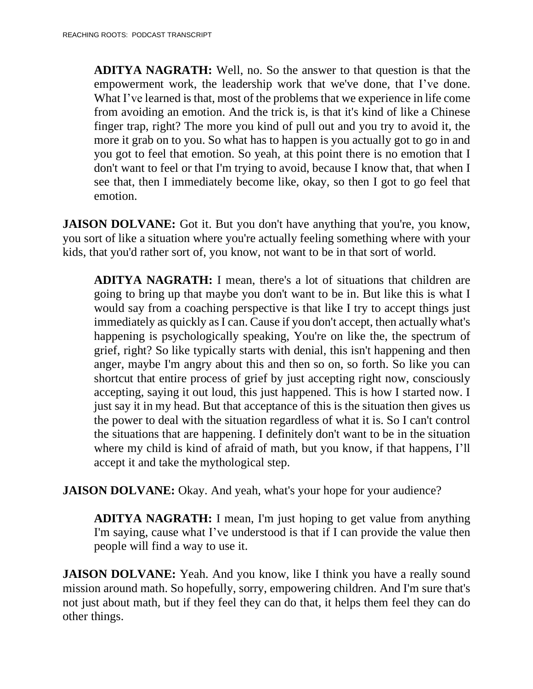**ADITYA NAGRATH:** Well, no. So the answer to that question is that the empowerment work, the leadership work that we've done, that I've done. What I've learned is that, most of the problems that we experience in life come from avoiding an emotion. And the trick is, is that it's kind of like a Chinese finger trap, right? The more you kind of pull out and you try to avoid it, the more it grab on to you. So what has to happen is you actually got to go in and you got to feel that emotion. So yeah, at this point there is no emotion that I don't want to feel or that I'm trying to avoid, because I know that, that when I see that, then I immediately become like, okay, so then I got to go feel that emotion.

**JAISON DOLVANE:** Got it. But you don't have anything that you're, you know, you sort of like a situation where you're actually feeling something where with your kids, that you'd rather sort of, you know, not want to be in that sort of world.

**ADITYA NAGRATH:** I mean, there's a lot of situations that children are going to bring up that maybe you don't want to be in. But like this is what I would say from a coaching perspective is that like I try to accept things just immediately as quickly as I can. Cause if you don't accept, then actually what's happening is psychologically speaking, You're on like the, the spectrum of grief, right? So like typically starts with denial, this isn't happening and then anger, maybe I'm angry about this and then so on, so forth. So like you can shortcut that entire process of grief by just accepting right now, consciously accepting, saying it out loud, this just happened. This is how I started now. I just say it in my head. But that acceptance of this is the situation then gives us the power to deal with the situation regardless of what it is. So I can't control the situations that are happening. I definitely don't want to be in the situation where my child is kind of afraid of math, but you know, if that happens, I'll accept it and take the mythological step.

**JAISON DOLVANE:** Okay. And yeah, what's your hope for your audience?

**ADITYA NAGRATH:** I mean, I'm just hoping to get value from anything I'm saying, cause what I've understood is that if I can provide the value then people will find a way to use it.

**JAISON DOLVANE:** Yeah. And you know, like I think you have a really sound mission around math. So hopefully, sorry, empowering children. And I'm sure that's not just about math, but if they feel they can do that, it helps them feel they can do other things.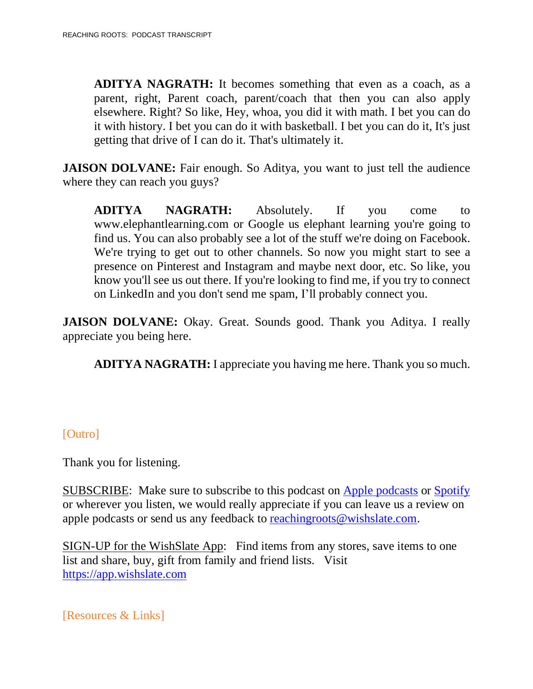**ADITYA NAGRATH:** It becomes something that even as a coach, as a parent, right, Parent coach, parent/coach that then you can also apply elsewhere. Right? So like, Hey, whoa, you did it with math. I bet you can do it with history. I bet you can do it with basketball. I bet you can do it, It's just getting that drive of I can do it. That's ultimately it.

**JAISON DOLVANE:** Fair enough. So Aditya, you want to just tell the audience where they can reach you guys?

**ADITYA NAGRATH:** Absolutely. If you come to www.elephantlearning.com or Google us elephant learning you're going to find us. You can also probably see a lot of the stuff we're doing on Facebook. We're trying to get out to other channels. So now you might start to see a presence on Pinterest and Instagram and maybe next door, etc. So like, you know you'll see us out there. If you're looking to find me, if you try to connect on LinkedIn and you don't send me spam, I'll probably connect you.

**JAISON DOLVANE:** Okay. Great. Sounds good. Thank you Aditya. I really appreciate you being here.

**ADITYA NAGRATH:** I appreciate you having me here. Thank you so much.

### [Outro]

Thank you for listening.

SUBSCRIBE: Make sure to subscribe to this podcast on Apple [podcasts](https://podcasts.apple.com/us/podcast/reaching-roots/id1540658282?uo=4) or [Spotify](https://open.spotify.com/show/3LG42c0YAEFvUQMVS9EHWC?si=JdaHHJCIRRW-cWZycNtqOQ) or wherever you listen, we would really appreciate if you can leave us a review on apple podcasts or send us any feedback to [reachingroots@wishslate.com.](mailto:reachingroots@wishslate.com?subject=Comment%20on%20RR%20Podcast)

SIGN-UP for the WishSlate App: Find items from any stores, save items to one list and share, buy, gift from family and friend lists. Visit [https://app.wishslate.com](https://app.wishslate.com/)

[Resources & Links]